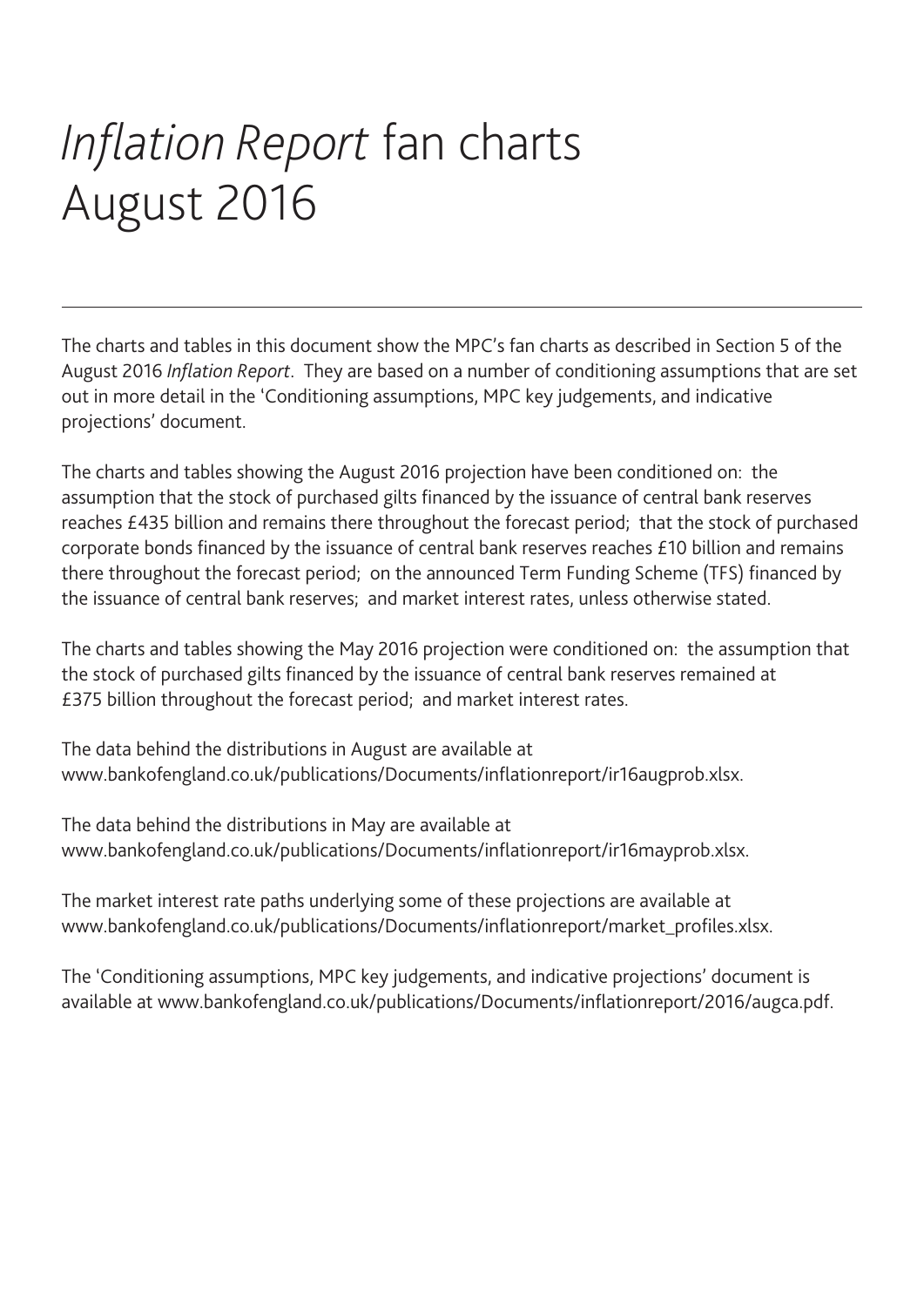# *Inflation Report* fan charts August 2016

The charts and tables in this document show the MPC's fan charts as described in Section 5 of the August 2016 *Inflation Report*. They are based on a number of conditioning assumptions that are set out in more detail in the 'Conditioning assumptions, MPC key judgements, and indicative projections' document.

The charts and tables showing the August 2016 projection have been conditioned on: the assumption that the stock of purchased gilts financed by the issuance of central bank reserves reaches £435 billion and remains there throughout the forecast period; that the stock of purchased corporate bonds financed by the issuance of central bank reserves reaches £10 billion and remains there throughout the forecast period; on the announced Term Funding Scheme (TFS) financed by the issuance of central bank reserves; and market interest rates, unless otherwise stated.

The charts and tables showing the May 2016 projection were conditioned on: the assumption that the stock of purchased gilts financed by the issuance of central bank reserves remained at £375 billion throughout the forecast period; and market interest rates.

The data behind the distributions in August are available at www.bankofengland.co.uk/publications/Documents/inflationreport/ir16augprob.xlsx.

The data behind the distributions in May are available at www.bankofengland.co.uk/publications/Documents/inflationreport/ir16mayprob.xlsx.

The market interest rate paths underlying some of these projections are available at www.bankofengland.co.uk/publications/Documents/inflationreport/market\_profiles.xlsx.

The 'Conditioning assumptions, MPC key judgements, and indicative projections' document is available at www.bankofengland.co.uk/publications/Documents/inflationreport/2016/augca.pdf.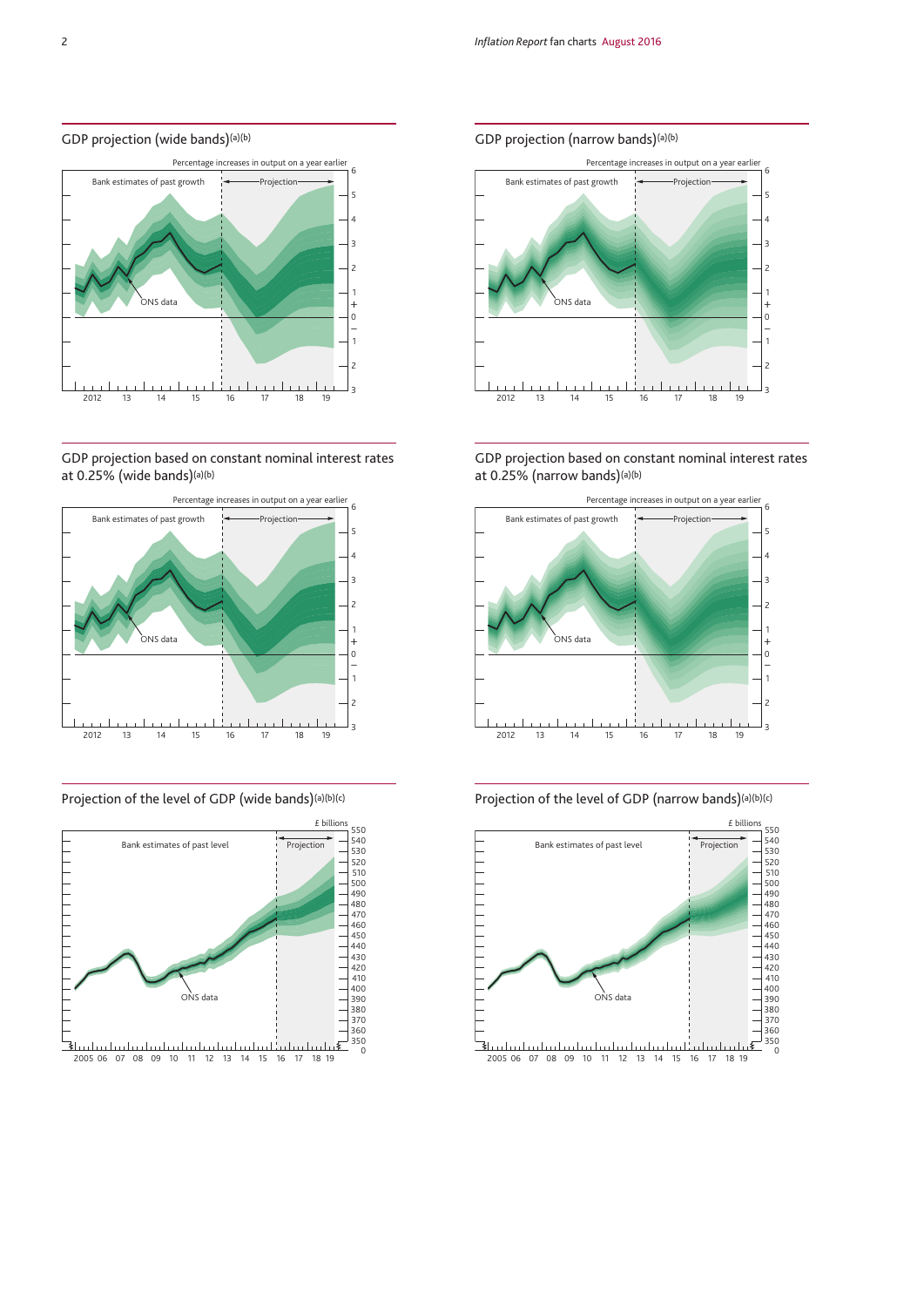# GDP projection (wide bands)(a)(b)



# GDP projection based on constant nominal interest rates at 0.25% (wide bands)(a)(b)



# Projection of the level of GDP (wide bands)(a)(b)(c)



# GDP projection (narrow bands)<sup>(a)(b)</sup>



GDP projection based on constant nominal interest rates at 0.25% (narrow bands)(a)(b)





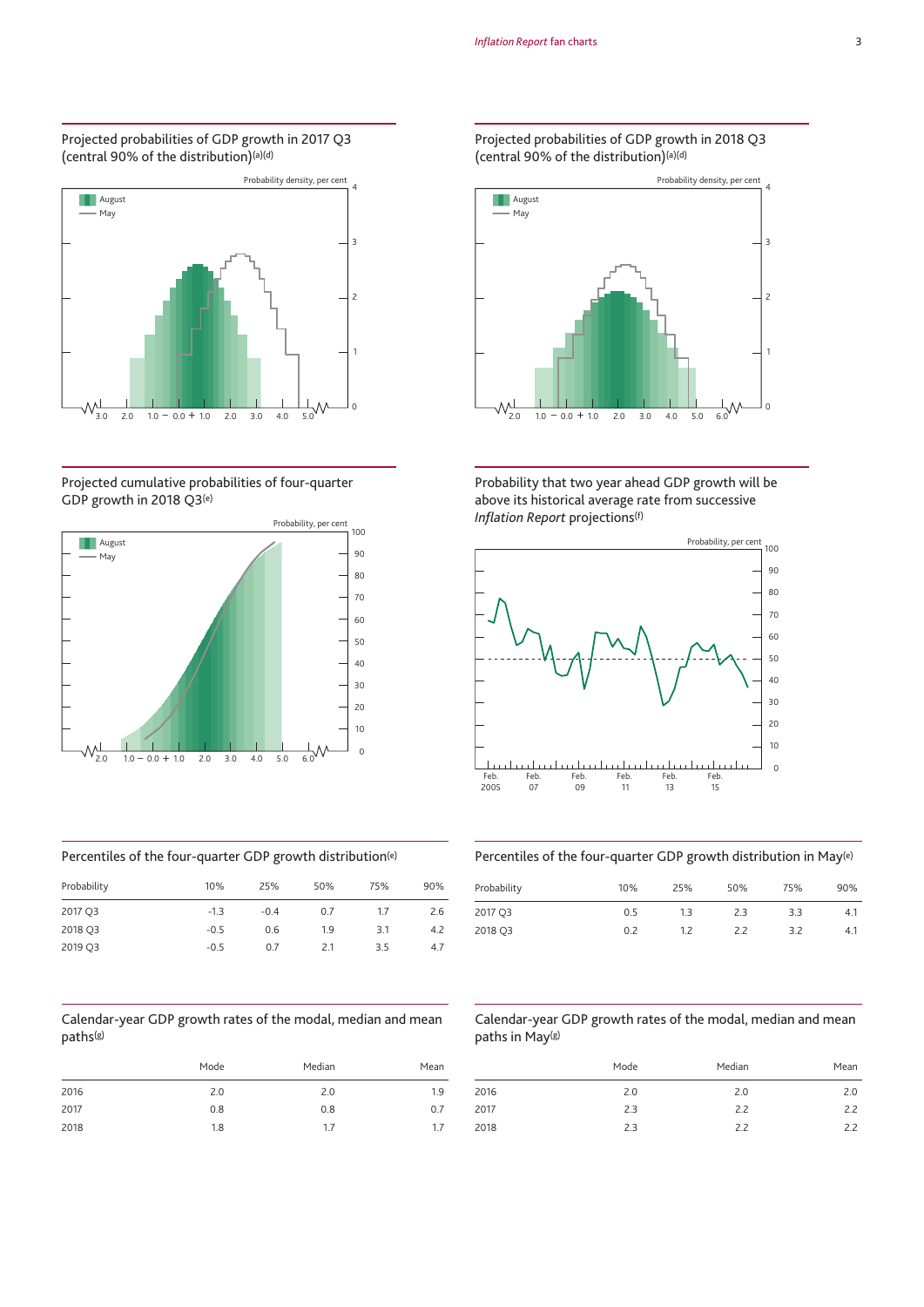#### Projected probabilities of GDP growth in 2017 Q3 (central 90% of the distribution)(a)(d)



# Projected cumulative probabilities of four-quarter GDP growth in 2018 Q3(e)



# Percentiles of the four-quarter GDP growth distribution(e)

| Probability | 10%    | 25%    | 50% | 75% | 90% |
|-------------|--------|--------|-----|-----|-----|
| 2017 Q3     | $-1.3$ | $-0.4$ | 0.7 | 1.7 | 2.6 |
| 2018 Q3     | $-0.5$ | 0.6    | 1.9 | 3.1 | 4.2 |
| 2019 Q3     | $-0.5$ | 0.7    | 2.1 | 3.5 | 4.7 |

#### Calendar-year GDP growth rates of the modal, median and mean paths(g)

|      | Mode | Median | Mean |
|------|------|--------|------|
| 2016 | 2.0  | 2.0    | 1.9  |
| 2017 | 0.8  | 0.8    | 0.7  |
| 2018 | 1.8  | 1.7    | 1.7  |

#### Projected probabilities of GDP growth in 2018 Q3 (central 90% of the distribution)(a)(d)



Probability that two year ahead GDP growth will be above its historical average rate from successive *Inflation Report* projections(f)



# Percentiles of the four-quarter GDP growth distribution in May(e)

| Probability | 10% | 25% | 50% | 75% | 90% |
|-------------|-----|-----|-----|-----|-----|
| 2017 Q3     | 0.5 | 1.3 | 2.3 | 3.3 | 4.1 |
| 2018 Q3     | 0.2 | 1.2 | 22  | 3.2 | 4.1 |

# Calendar-year GDP growth rates of the modal, median and mean paths in May(g)

|      | Mode | Median | Mean |
|------|------|--------|------|
| 2016 | 2.0  | 2.0    | 2.0  |
| 2017 | 2.3  | 2.2    | 2.2  |
| 2018 | 2.3  | 2.2    | 2.2  |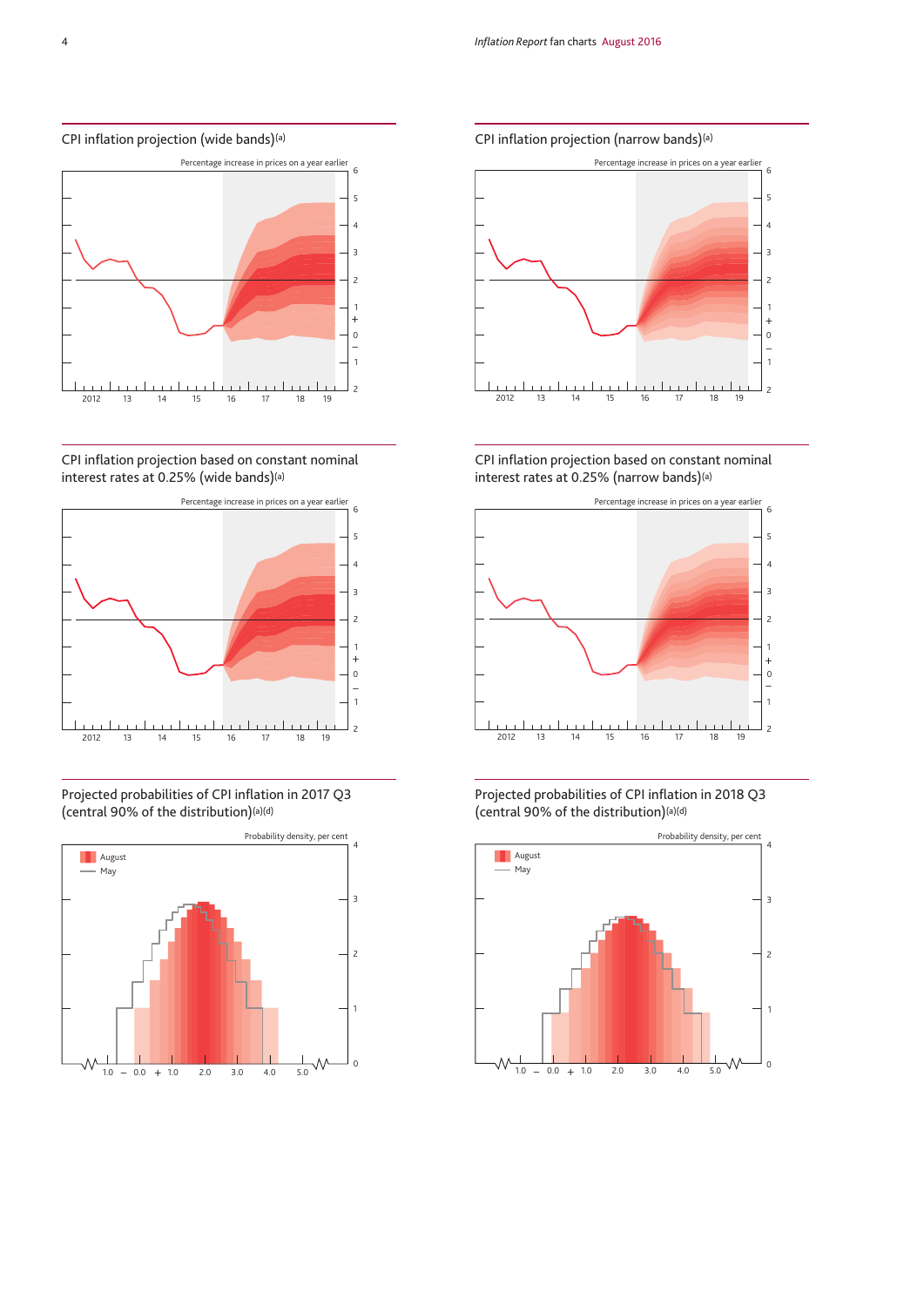#### CPI inflation projection (wide bands)(a)



CPI inflation projection based on constant nominal interest rates at 0.25% (wide bands)(a)



Projected probabilities of CPI inflation in 2017 Q3 (central 90% of the distribution)(a)(d)







CPI inflation projection based on constant nominal interest rates at 0.25% (narrow bands)(a)



Projected probabilities of CPI inflation in 2018 Q3 (central 90% of the distribution)(a)(d)

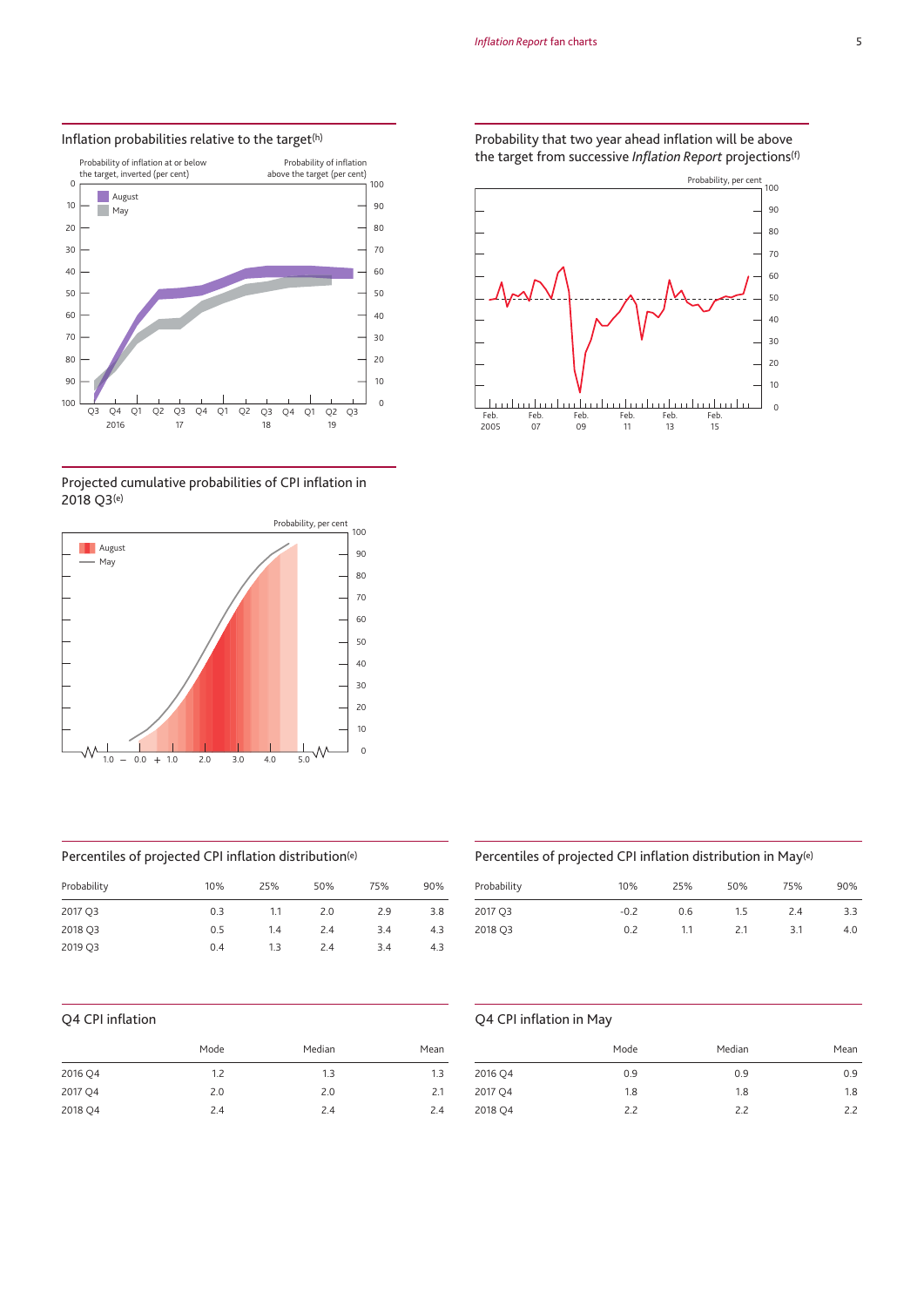

#### Inflation probabilities relative to the target<sup>(h)</sup>





# Percentiles of projected CPI inflation distribution(e)

| Probability | 10% | 25% | 50% | 75% | 90% |
|-------------|-----|-----|-----|-----|-----|
| 2017 Q3     | 0.3 | 1.1 | 2.0 | 2.9 | 3.8 |
| 2018 Q3     | 0.5 | 1.4 | 2.4 | 3.4 | 4.3 |
| 2019 Q3     | 0.4 | 13  | 2.4 | 3.4 | 4.3 |

# Q4 CPI inflation

|         | Mode | Median | Mean |
|---------|------|--------|------|
| 2016 Q4 | 1.2  | 1.3    | 1.3  |
| 2017 Q4 | 2.0  | 2.0    | 2.1  |
| 2018 Q4 | 2.4  | 2.4    | 2.4  |

Probability that two year ahead inflation will be above the target from successive *Inflation Report* projections(f)



# Percentiles of projected CPI inflation distribution in May(e)

| 10%    | 25% | 50% | 75% | 90% |
|--------|-----|-----|-----|-----|
| $-0.2$ | 0.6 | 1.5 | 2.4 | 3.3 |
| 0.2    | 1.1 | 2.1 | 3.1 | 4.0 |
|        |     |     |     |     |

# Q4 CPI inflation in May

|         | Mode | Median | Mean |
|---------|------|--------|------|
| 2016 Q4 | 0.9  | 0.9    | 0.9  |
| 2017 Q4 | 1.8  | 1.8    | 1.8  |
| 2018 Q4 | 2.2  | 2.2    | 2.2  |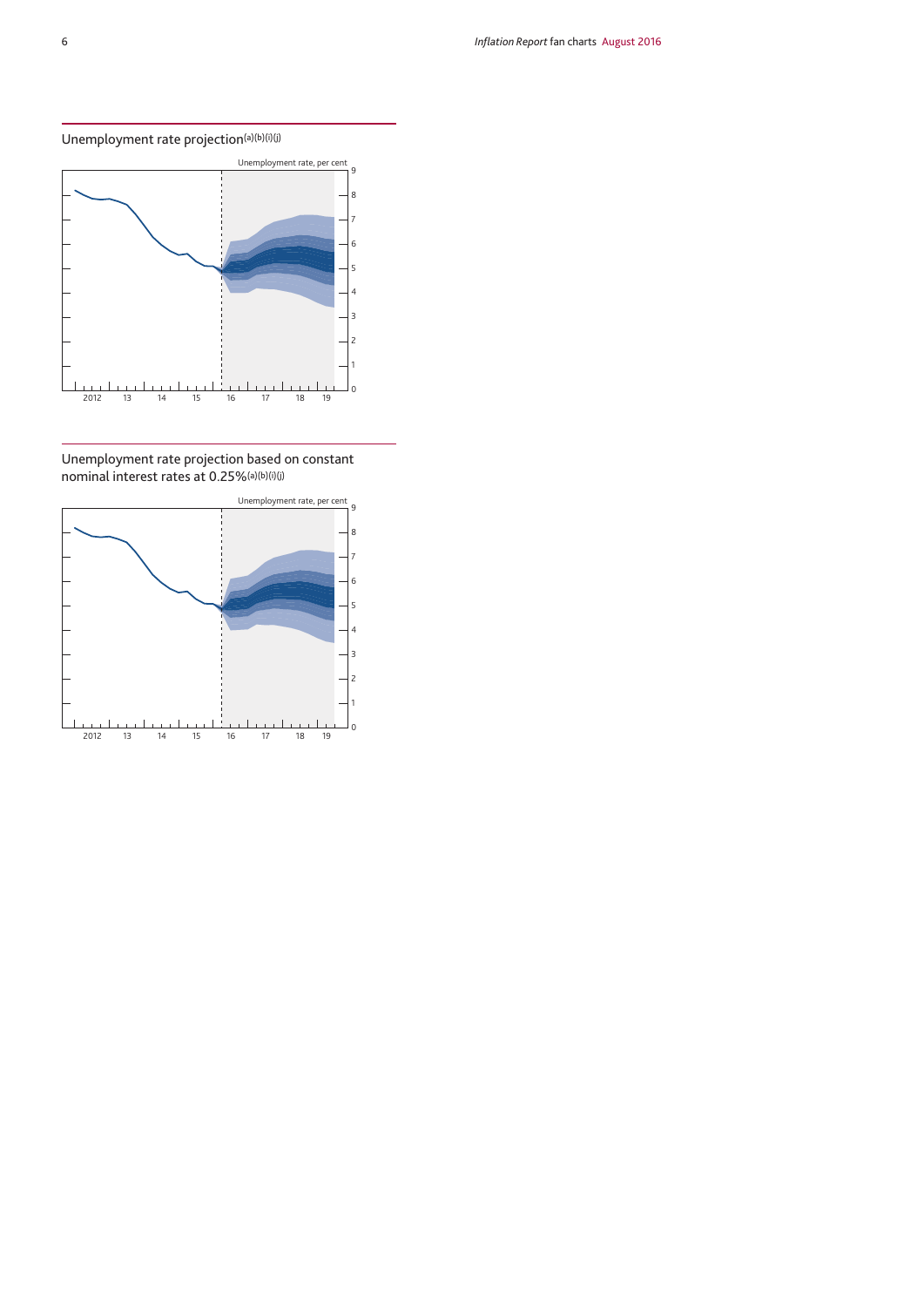# Unemployment rate projection $(a)(b)(i)(j)$



Unemployment rate projection based on constant nominal interest rates at 0.25%(a)(b)(i)(j)